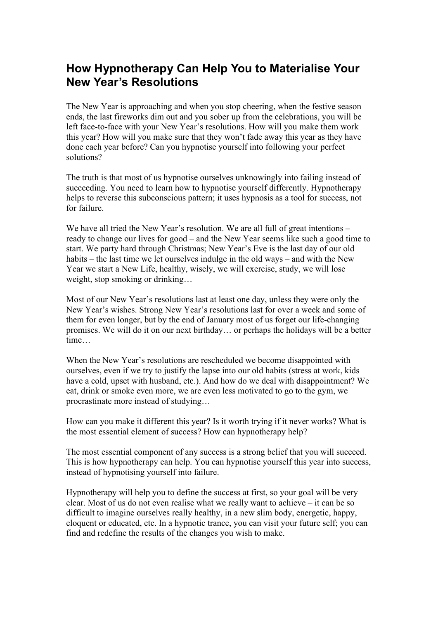## **How Hypnotherapy Can Help You to Materialise Your New Year's Resolutions**

The New Year is approaching and when you stop cheering, when the festive season ends, the last fireworks dim out and you sober up from the celebrations, you will be left face-to-face with your New Year's resolutions. How will you make them work this year? How will you make sure that they won't fade away this year as they have done each year before? Can you hypnotise yourself into following your perfect solutions?

The truth is that most of us hypnotise ourselves unknowingly into failing instead of succeeding. You need to learn how to hypnotise yourself differently. Hypnotherapy helps to reverse this subconscious pattern; it uses hypnosis as a tool for success, not for failure.

We have all tried the New Year's resolution. We are all full of great intentions – ready to change our lives for good – and the New Year seems like such a good time to start. We party hard through Christmas; New Year's Eve is the last day of our old habits – the last time we let ourselves indulge in the old ways – and with the New Year we start a New Life, healthy, wisely, we will exercise, study, we will lose weight, stop smoking or drinking...

Most of our New Year's resolutions last at least one day, unless they were only the New Year's wishes. Strong New Year's resolutions last for over a week and some of them for even longer, but by the end of January most of us forget our life-changing promises. We will do it on our next birthday… or perhaps the holidays will be a better time

When the New Year's resolutions are rescheduled we become disappointed with ourselves, even if we try to justify the lapse into our old habits (stress at work, kids have a cold, upset with husband, etc.). And how do we deal with disappointment? We eat, drink or smoke even more, we are even less motivated to go to the gym, we procrastinate more instead of studying…

How can you make it different this year? Is it worth trying if it never works? What is the most essential element of success? How can hypnotherapy help?

The most essential component of any success is a strong belief that you will succeed. This is how hypnotherapy can help. You can hypnotise yourself this year into success, instead of hypnotising yourself into failure.

Hypnotherapy will help you to define the success at first, so your goal will be very clear. Most of us do not even realise what we really want to achieve – it can be so difficult to imagine ourselves really healthy, in a new slim body, energetic, happy, eloquent or educated, etc. In a hypnotic trance, you can visit your future self; you can find and redefine the results of the changes you wish to make.